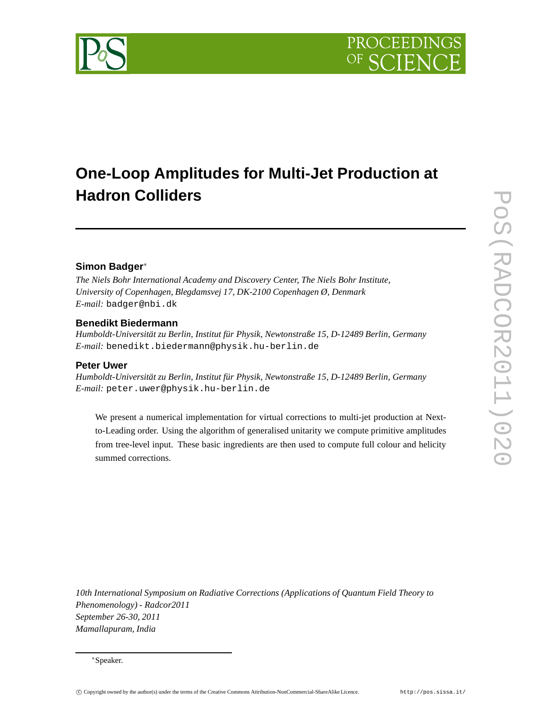# **One-Loop Amplitudes for Multi-Jet Production at Hadron Colliders**

# **Simon Badger**<sup>∗</sup>

*The Niels Bohr International Academy and Discovery Center, The Niels Bohr Institute, University of Copenhagen, Blegdamsvej 17, DK-2100 Copenhagen Ø, Denmark E-mail:* badger@nbi.dk

# **Benedikt Biedermann**

*Humboldt-Universität zu Berlin, Institut für Physik, Newtonstraße 15, D-12489 Berlin, Germany E-mail:* benedikt.biedermann@physik.hu-berlin.de

# **Peter Uwer**

*Humboldt-Universität zu Berlin, Institut für Physik, Newtonstraße 15, D-12489 Berlin, Germany E-mail:* peter.uwer@physik.hu-berlin.de

We present a numerical implementation for virtual corrections to multi-jet production at Nextto-Leading order. Using the algorithm of generalised unitarity we compute primitive amplitudes from tree-level input. These basic ingredients are then used to compute full colour and helicity summed corrections.

*10th International Symposium on Radiative Corrections (Applications of Quantum Field Theory to Phenomenology) - Radcor2011 September 26-30, 2011 Mamallapuram, India*

<sup>∗</sup>Speaker.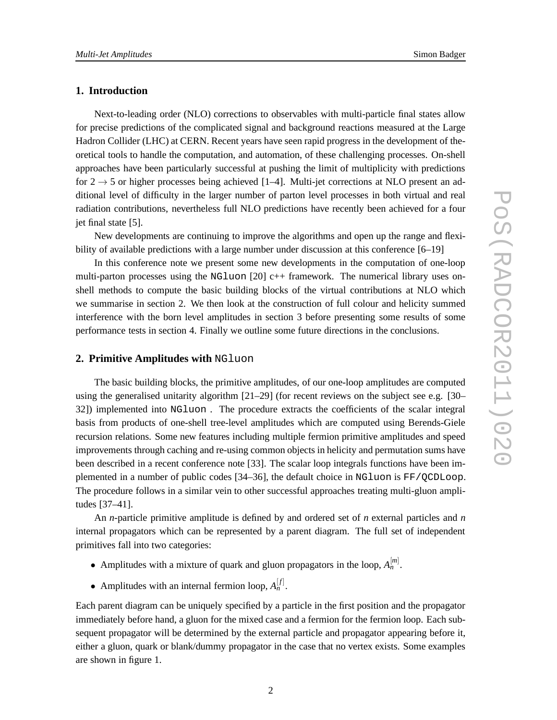# **1. Introduction**

Next-to-leading order (NLO) corrections to observables with multi-particle final states allow for precise predictions of the complicated signal and background reactions measured at the Large Hadron Collider (LHC) at CERN. Recent years have seen rapid progress in the development of theoretical tools to handle the computation, and automation, of these challenging processes. On-shell approaches have been particularly successful at pushing the limit of multiplicity with predictions for  $2 \rightarrow 5$  or higher processes being achieved [1–4]. Multi-jet corrections at NLO present an additional level of difficulty in the larger number of parton level processes in both virtual and real radiation contributions, nevertheless full NLO predictions have recently been achieved for a four jet final state [5].

New developments are continuing to improve the algorithms and open up the range and flexibility of available predictions with a large number under discussion at this conference [6–19]

In this conference note we present some new developments in the computation of one-loop multi-parton processes using the NGluon  $[20]$  c++ framework. The numerical library uses onshell methods to compute the basic building blocks of the virtual contributions at NLO which we summarise in section 2. We then look at the construction of full colour and helicity summed interference with the born level amplitudes in section 3 before presenting some results of some performance tests in section 4. Finally we outline some future directions in the conclusions.

#### **2. Primitive Amplitudes with** NGluon

The basic building blocks, the primitive amplitudes, of our one-loop amplitudes are computed using the generalised unitarity algorithm [21–29] (for recent reviews on the subject see e.g. [30– 32]) implemented into NGluon . The procedure extracts the coefficients of the scalar integral basis from products of one-shell tree-level amplitudes which are computed using Berends-Giele recursion relations. Some new features including multiple fermion primitive amplitudes and speed improvements through caching and re-using common objects in helicity and permutation sums have been described in a recent conference note [33]. The scalar loop integrals functions have been implemented in a number of public codes [34–36], the default choice in NGluon is FF/QCDLoop. The procedure follows in a similar vein to other successful approaches treating multi-gluon amplitudes [37–41].

An *n*-particle primitive amplitude is defined by and ordered set of *n* external particles and *n* internal propagators which can be represented by a parent diagram. The full set of independent primitives fall into two categories:

- Amplitudes with a mixture of quark and gluon propagators in the loop,  $A_n^{[m]}$ .
- Amplitudes with an internal fermion loop,  $A_n^{[f]}$ .

Each parent diagram can be uniquely specified by a particle in the first position and the propagator immediately before hand, a gluon for the mixed case and a fermion for the fermion loop. Each subsequent propagator will be determined by the external particle and propagator appearing before it, either a gluon, quark or blank/dummy propagator in the case that no vertex exists. Some examples are shown in figure 1.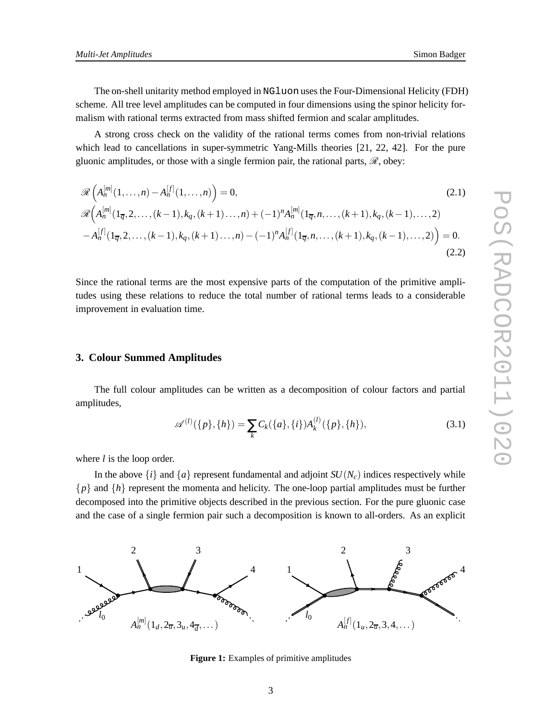The on-shell unitarity method employed in NGluon uses the Four-Dimensional Helicity (FDH) scheme. All tree level amplitudes can be computed in four dimensions using the spinor helicity formalism with rational terms extracted from mass shifted fermion and scalar amplitudes.

A strong cross check on the validity of the rational terms comes from non-trivial relations which lead to cancellations in super-symmetric Yang-Mills theories [21, 22, 42]. For the pure gluonic amplitudes, or those with a single fermion pair, the rational parts,  $\mathcal{R}$ , obey:

$$
\mathcal{R}\left(A_n^{[m]}(1,\ldots,n) - A_n^{[f]}(1,\ldots,n)\right) = 0,
$$
\n
$$
\mathcal{R}\left(A_n^{[m]}(1_{\overline{q}},2,\ldots,(k-1),k_q,(k+1)\ldots,n) + (-1)^n A_n^{[m]}(1_{\overline{q}},n,\ldots,(k+1),k_q,(k-1),\ldots,2) - A_n^{[f]}(1_{\overline{q}},2,\ldots,(k-1),k_q,(k+1)\ldots,n) - (-1)^n A_n^{[f]}(1_{\overline{q}},n,\ldots,(k+1),k_q,(k-1),\ldots,2)\right) = 0.
$$
\n(2.2)

Since the rational terms are the most expensive parts of the computation of the primitive amplitudes using these relations to reduce the total number of rational terms leads to a considerable improvement in evaluation time.

#### **3. Colour Summed Amplitudes**

The full colour amplitudes can be written as a decomposition of colour factors and partial amplitudes,

$$
\mathscr{A}^{(l)}(\{p\},\{h\}) = \sum_{k} C_k(\{a\},\{i\}) A_k^{(l)}(\{p\},\{h\}),\tag{3.1}
$$

where *l* is the loop order.

In the above  $\{i\}$  and  $\{a\}$  represent fundamental and adjoint  $SU(N_c)$  indices respectively while {*p*} and {*h*} represent the momenta and helicity. The one-loop partial amplitudes must be further decomposed into the primitive objects described in the previous section. For the pure gluonic case and the case of a single fermion pair such a decomposition is known to all-orders. As an explicit



**Figure 1:** Examples of primitive amplitudes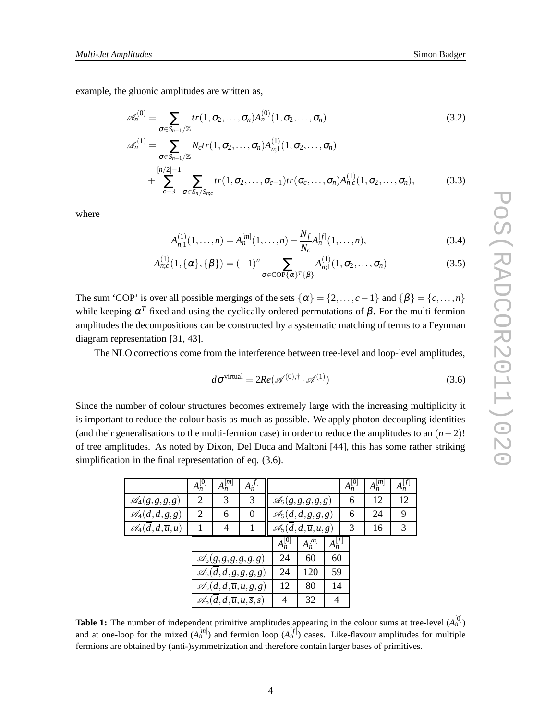example, the gluonic amplitudes are written as,

$$
\mathcal{A}_{n}^{(0)} = \sum_{\sigma \in S_{n-1}/\mathbb{Z}} tr(1, \sigma_{2}, ..., \sigma_{n}) A_{n}^{(0)}(1, \sigma_{2}, ..., \sigma_{n})
$$
(3.2)  

$$
\mathcal{A}_{n}^{(1)} = \sum_{\sigma \in S_{n-1}/\mathbb{Z}} N_{c} tr(1, \sigma_{2}, ..., \sigma_{n}) A_{n;1}^{(1)}(1, \sigma_{2}, ..., \sigma_{n})
$$

$$
+ \sum_{c=3}^{\lfloor n/2 \rfloor - 1} \sum_{\sigma \in S_{n}/S_{n;c}} tr(1, \sigma_{2}, ..., \sigma_{c-1}) tr(\sigma_{c}, ..., \sigma_{n}) A_{n;c}^{(1)}(1, \sigma_{2}, ..., \sigma_{n}),
$$
(3.3)

where

$$
A_{n;1}^{(1)}(1,\ldots,n) = A_n^{[m]}(1,\ldots,n) - \frac{N_f}{N_c} A_n^{[f]}(1,\ldots,n),
$$
\n(3.4)

$$
A_{n;c}^{(1)}(1,\{\alpha\},\{\beta\}) = (-1)^n \sum_{\sigma \in \text{COP}\{\alpha\}^T\{\beta\}} A_{n;1}^{(1)}(1,\sigma_2,\ldots,\sigma_n)
$$
(3.5)

The sum 'COP' is over all possible mergings of the sets  $\{\alpha\} = \{2,\ldots,c-1\}$  and  $\{\beta\} = \{c,\ldots,n\}$ while keeping  $\alpha^T$  fixed and using the cyclically ordered permutations of  $\beta$ . For the multi-fermion amplitudes the decompositions can be constructed by a systematic matching of terms to a Feynman diagram representation [31, 43].

The NLO corrections come from the interference between tree-level and loop-level amplitudes,

$$
d\sigma^{\text{virtual}} = 2Re(\mathscr{A}^{(0),\dagger} \cdot \mathscr{A}^{(1)})
$$
\n(3.6)

Since the number of colour structures becomes extremely large with the increasing multiplicity it is important to reduce the colour basis as much as possible. We apply photon decoupling identities (and their generalisations to the multi-fermion case) in order to reduce the amplitudes to an  $(n-2)!$ of tree amplitudes. As noted by Dixon, Del Duca and Maltoni [44], this has some rather striking simplification in the final representation of eq. (3.6).

|                                                | $A_n^{[0]}$ | $A_n^{[m]}$                                        | $A_n^{[f]}$                                        |             |                                                  |             | $A_n^{[0]}$ | $A_n^{[m]}$ | $A_n^{[f]}$ |
|------------------------------------------------|-------------|----------------------------------------------------|----------------------------------------------------|-------------|--------------------------------------------------|-------------|-------------|-------------|-------------|
| $\mathscr{A}_4(g,g,g,g)$                       | 2           | 3                                                  | 3                                                  |             | $\mathscr{A}_5(g,g,g,g,g)$                       |             | 6           | 12          | 12          |
| $\mathscr{A}_4(\overline{d},d,g,g)$            | 2           | 6                                                  | $\Omega$                                           |             | $\mathscr{A}_5(\overline{d},d,g,g,g)$            |             | 6           | 24          | 9           |
| $\mathscr{A}_4(\overline{d},d,\overline{u},u)$ |             | 4                                                  |                                                    |             | $\mathscr{A}_5(\overline{d},d,\overline{u},u,g)$ |             | 3           | 16          | 3           |
|                                                |             |                                                    |                                                    | $A_n^{[0]}$ | $A_n^{[m]}$                                      | $A_n^{[f]}$ |             |             |             |
|                                                |             | $\mathscr{A}_6(g, g, g, g, g, g)$                  |                                                    | 24          | 60                                               | 60          |             |             |             |
|                                                |             |                                                    | $\mathcal{A}_6(\overline{d},d,g,g,g,g)$            | 24          | 120                                              | 59          |             |             |             |
|                                                |             |                                                    | $\mathscr{A}_6(\overline{d},d,\overline{u},u,g,g)$ | 12          | 80                                               | 14          |             |             |             |
|                                                |             | $\mathscr{A}_6(d,d,\overline{u},u,\overline{s},s)$ |                                                    | 4           | 32                                               | 4           |             |             |             |

**Table 1:** The number of independent primitive amplitudes appearing in the colour sums at tree-level  $(A_n^{[0]})$ and at one-loop for the mixed  $(A_n^{[m]})$  and fermion loop  $(A_n^{[f]})$  cases. Like-flavour amplitudes for multiple fermions are obtained by (anti-)symmetrization and therefore contain larger bases of primitives.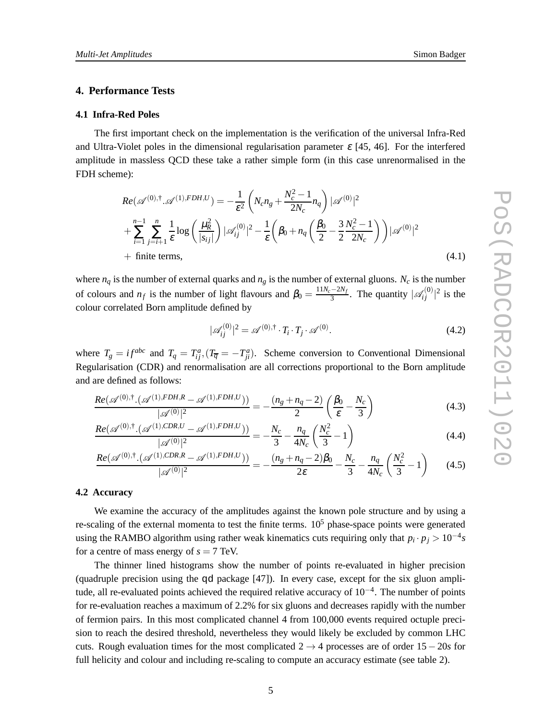## **4. Performance Tests**

#### **4.1 Infra-Red Poles**

The first important check on the implementation is the verification of the universal Infra-Red and Ultra-Violet poles in the dimensional regularisation parameter  $\varepsilon$  [45, 46]. For the interfered amplitude in massless QCD these take a rather simple form (in this case unrenormalised in the FDH scheme):

$$
Re(\mathscr{A}^{(0),\dagger}.\mathscr{A}^{(1),FDH,U}) = -\frac{1}{\varepsilon^2} \left( N_c n_g + \frac{N_c^2 - 1}{2N_c} n_q \right) |\mathscr{A}^{(0)}|^2 + \sum_{i=1}^{n-1} \sum_{j=i+1}^n \frac{1}{\varepsilon} \log \left( \frac{\mu_R^2}{|s_{ij}|} \right) |\mathscr{A}^{(0)}_{ij}|^2 - \frac{1}{\varepsilon} \left( \beta_0 + n_q \left( \frac{\beta_0}{2} - \frac{3}{2} \frac{N_c^2 - 1}{2N_c} \right) \right) |\mathscr{A}^{(0)}|^2 + \text{finite terms}, \tag{4.1}
$$

where  $n_q$  is the number of external quarks and  $n_g$  is the number of external gluons.  $N_c$  is the number of colours and  $n_f$  is the number of light flavours and  $\beta_0 = \frac{11N_c - 2N_f}{3}$  $rac{-2N_f}{3}$ . The quantity  $|\mathcal{A}_{ij}^{(0)}|^2$  is the colour correlated Born amplitude defined by

$$
|\mathscr{A}_{ij}^{(0)}|^2 = \mathscr{A}^{(0),\dagger} \cdot T_i \cdot T_j \cdot \mathscr{A}^{(0)}.
$$
\n(4.2)

where  $T_g = i f^{abc}$  and  $T_q = T_{ij}^a$ ,  $(T_{\overline{q}} = -T_{ji}^a)$ . Scheme conversion to Conventional Dimensional Regularisation (CDR) and renormalisation are all corrections proportional to the Born amplitude and are defined as follows:

$$
\frac{Re(\mathscr{A}^{(0),\dagger},(\mathscr{A}^{(1),FDH,R}-\mathscr{A}^{(1),FDH,U}))}{|\mathscr{A}^{(0)}|^2} = -\frac{(n_g + n_q - 2)}{2} \left(\frac{\beta_0}{\varepsilon} - \frac{N_c}{3}\right)
$$
(4.3)

$$
\frac{Re(\mathscr{A}^{(0),\dagger}.(\mathscr{A}^{(1),CDR,U}-\mathscr{A}^{(1),FDH,U}))}{|\mathscr{A}^{(0)}|^2} = -\frac{N_c}{3} - \frac{n_q}{4N_c} \left(\frac{N_c^2}{3} - 1\right)
$$
(4.4)

$$
\frac{Re(\mathscr{A}^{(0),\dagger}(\mathscr{A}^{(1),CDR,R}-\mathscr{A}^{(1),FDH,U}))}{|\mathscr{A}^{(0)}|^2} = -\frac{(n_g + n_q - 2)\beta_0}{2\varepsilon} - \frac{N_c}{3} - \frac{n_q}{4N_c} \left(\frac{N_c^2}{3} - 1\right) \tag{4.5}
$$

#### **4.2 Accuracy**

We examine the accuracy of the amplitudes against the known pole structure and by using a re-scaling of the external momenta to test the finite terms.  $10<sup>5</sup>$  phase-space points were generated using the RAMBO algorithm using rather weak kinematics cuts requiring only that  $p_i \cdot p_j > 10^{-4}s$ for a centre of mass energy of  $s = 7$  TeV.

The thinner lined histograms show the number of points re-evaluated in higher precision (quadruple precision using the qd package [47]). In every case, except for the six gluon amplitude, all re-evaluated points achieved the required relative accuracy of 10<sup>-4</sup>. The number of points for re-evaluation reaches a maximum of 2.2% for six gluons and decreases rapidly with the number of fermion pairs. In this most complicated channel 4 from 100,000 events required octuple precision to reach the desired threshold, nevertheless they would likely be excluded by common LHC cuts. Rough evaluation times for the most complicated 2 → 4 processes are of order 15− 20*s* for full helicity and colour and including re-scaling to compute an accuracy estimate (see table 2).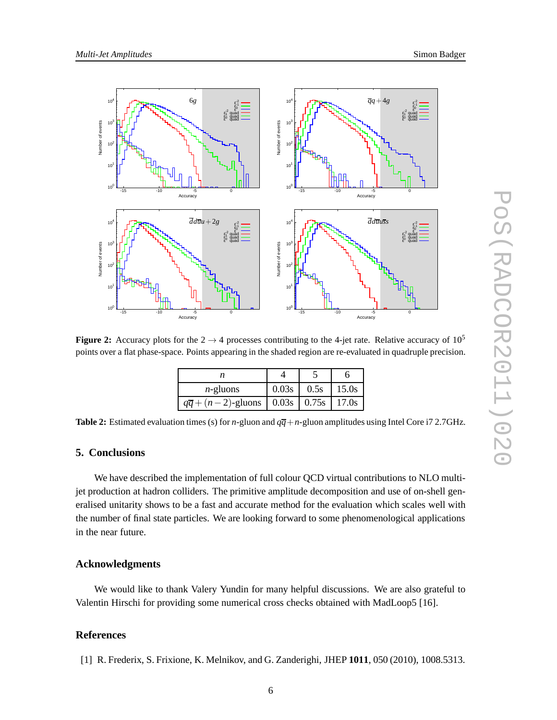

**Figure 2:** Accuracy plots for the  $2 \rightarrow 4$  processes contributing to the 4-jet rate. Relative accuracy of 10<sup>5</sup> points over a flat phase-space. Points appearing in the shaded region are re-evaluated in quadruple precision.

| $n$ -gluons                                             | 0.03s | 0.5s | 15.0s |
|---------------------------------------------------------|-------|------|-------|
| $q\overline{q} + (n-2)$ -gluons   0.03s   0.75s   17.0s |       |      |       |

**Table 2:** Estimated evaluation times (s) for *n*-gluon and  $q\overline{q}+n$ -gluon amplitudes using Intel Core i7 2.7GHz.

### **5. Conclusions**

We have described the implementation of full colour QCD virtual contributions to NLO multijet production at hadron colliders. The primitive amplitude decomposition and use of on-shell generalised unitarity shows to be a fast and accurate method for the evaluation which scales well with the number of final state particles. We are looking forward to some phenomenological applications in the near future.

## **Acknowledgments**

We would like to thank Valery Yundin for many helpful discussions. We are also grateful to Valentin Hirschi for providing some numerical cross checks obtained with MadLoop5 [16].

# **References**

[1] R. Frederix, S. Frixione, K. Melnikov, and G. Zanderighi, JHEP **1011**, 050 (2010), 1008.5313.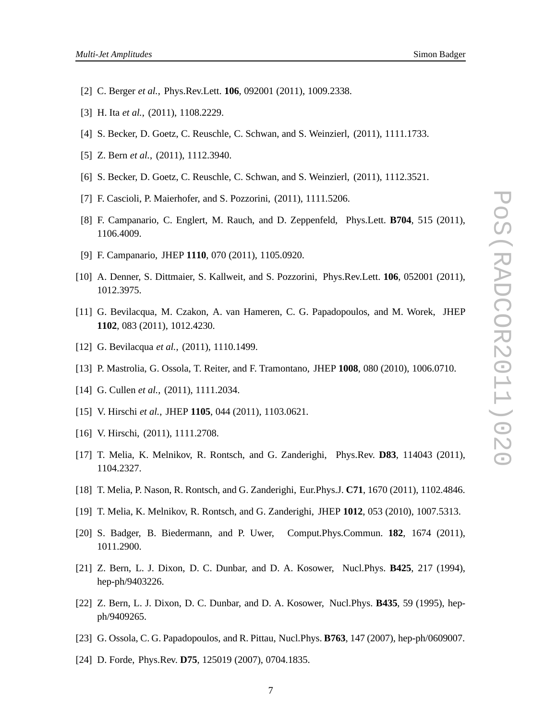- [2] C. Berger *et al.*, Phys.Rev.Lett. **106**, 092001 (2011), 1009.2338.
- [3] H. Ita *et al.*, (2011), 1108.2229.
- [4] S. Becker, D. Goetz, C. Reuschle, C. Schwan, and S. Weinzierl, (2011), 1111.1733.
- [5] Z. Bern *et al.*, (2011), 1112.3940.
- [6] S. Becker, D. Goetz, C. Reuschle, C. Schwan, and S. Weinzierl, (2011), 1112.3521.
- [7] F. Cascioli, P. Maierhofer, and S. Pozzorini, (2011), 1111.5206.
- [8] F. Campanario, C. Englert, M. Rauch, and D. Zeppenfeld, Phys.Lett. **B704**, 515 (2011), 1106.4009.
- [9] F. Campanario, JHEP **1110**, 070 (2011), 1105.0920.
- [10] A. Denner, S. Dittmaier, S. Kallweit, and S. Pozzorini, Phys.Rev.Lett. **106**, 052001 (2011), 1012.3975.
- [11] G. Bevilacqua, M. Czakon, A. van Hameren, C. G. Papadopoulos, and M. Worek, JHEP **1102**, 083 (2011), 1012.4230.
- [12] G. Bevilacqua *et al.*, (2011), 1110.1499.
- [13] P. Mastrolia, G. Ossola, T. Reiter, and F. Tramontano, JHEP **1008**, 080 (2010), 1006.0710.
- [14] G. Cullen *et al.*, (2011), 1111.2034.
- [15] V. Hirschi *et al.*, JHEP **1105**, 044 (2011), 1103.0621.
- [16] V. Hirschi, (2011), 1111.2708.
- [17] T. Melia, K. Melnikov, R. Rontsch, and G. Zanderighi, Phys.Rev. **D83**, 114043 (2011), 1104.2327.
- [18] T. Melia, P. Nason, R. Rontsch, and G. Zanderighi, Eur.Phys.J. **C71**, 1670 (2011), 1102.4846.
- [19] T. Melia, K. Melnikov, R. Rontsch, and G. Zanderighi, JHEP **1012**, 053 (2010), 1007.5313.
- [20] S. Badger, B. Biedermann, and P. Uwer, Comput.Phys.Commun. **182**, 1674 (2011), 1011.2900.
- [21] Z. Bern, L. J. Dixon, D. C. Dunbar, and D. A. Kosower, Nucl.Phys. **B425**, 217 (1994), hep-ph/9403226.
- [22] Z. Bern, L. J. Dixon, D. C. Dunbar, and D. A. Kosower, Nucl.Phys. **B435**, 59 (1995), hepph/9409265.
- [23] G. Ossola, C. G. Papadopoulos, and R. Pittau, Nucl.Phys. **B763**, 147 (2007), hep-ph/0609007.
- [24] D. Forde, Phys.Rev. **D75**, 125019 (2007), 0704.1835.